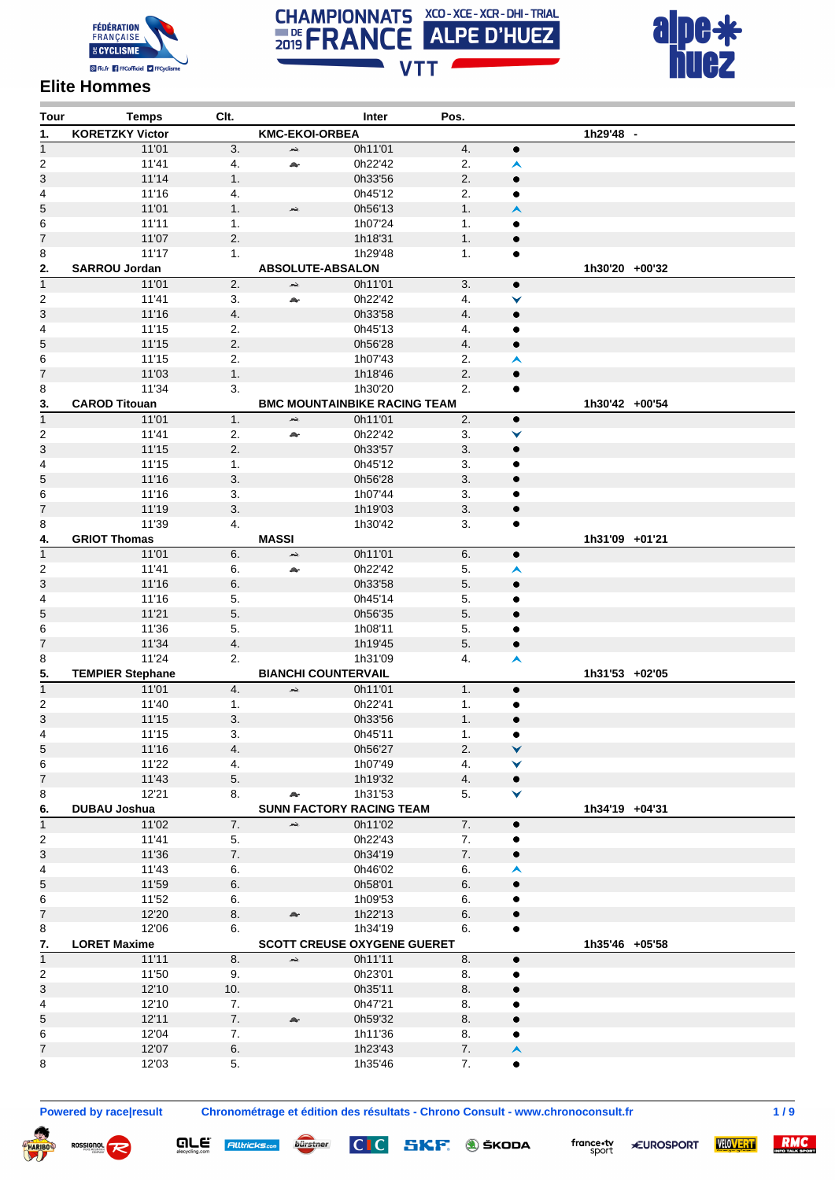





## **Elite Hommes**

| Tour                    | <b>Temps</b>            | Clt. |                            | Inter                               | Pos. |                  |                |
|-------------------------|-------------------------|------|----------------------------|-------------------------------------|------|------------------|----------------|
| 1.                      | <b>KORETZKY Victor</b>  |      | <b>KMC-EKOI-ORBEA</b>      |                                     |      |                  | 1h29'48 -      |
| $\mathbf{1}$            | 11'01                   | 3.   | بحد                        | 0h11'01                             | 4.   | $\bullet$        |                |
| $\overline{c}$          | 11'41                   | 4.   | A.                         | 0h22'42                             | 2.   | ㅅ                |                |
| 3                       | 11'14                   | 1.   |                            | 0h33'56                             | 2.   | $\bullet$        |                |
| 4                       | 11'16                   | 4.   |                            | 0h45'12                             | 2.   | $\bullet$        |                |
| 5                       | 11'01                   | 1.   | æ,                         | 0h56'13                             | 1.   | ㅅ                |                |
| 6                       | 11'11                   | 1.   |                            | 1h07'24                             | 1.   | ٠                |                |
| 7                       | 11'07                   | 2.   |                            | 1h18'31                             | 1.   | $\bullet$        |                |
|                         | 11'17                   | 1.   |                            | 1h29'48                             | 1.   | $\bullet$        |                |
| 8                       | <b>SARROU Jordan</b>    |      |                            |                                     |      |                  | 1h30'20 +00'32 |
| 2.                      |                         |      | ABSOLUTE-ABSALON           |                                     |      |                  |                |
| $\overline{1}$          | 11'01                   | 2.   | بحد                        | 0h11'01                             | 3.   | $\bullet$        |                |
| $\overline{\mathbf{c}}$ | 11'41                   | 3.   | A.                         | 0h22'42                             | 4.   | ▼                |                |
| 3                       | 11'16                   | 4.   |                            | 0h33'58                             | 4.   | $\bullet$        |                |
| 4                       | 11'15                   | 2.   |                            | 0h45'13                             | 4.   | ٠                |                |
| 5                       | 11'15                   | 2.   |                            | 0h56'28                             | 4.   | $\bullet$        |                |
| 6                       | 11'15                   | 2.   |                            | 1h07'43                             | 2.   | ㅅ                |                |
| 7                       | 11'03                   | 1.   |                            | 1h18'46                             | 2.   | $\bullet$        |                |
| 8                       | 11'34                   | 3.   |                            | 1h30'20                             | 2.   | ٠                |                |
| 3.                      | <b>CAROD Titouan</b>    |      |                            | <b>BMC MOUNTAINBIKE RACING TEAM</b> |      |                  | 1h30'42 +00'54 |
| $\overline{1}$          | 11'01                   | 1.   | بقعر                       | 0h11'01                             | 2.   | $\bullet$        |                |
| 2                       | 11'41                   | 2.   | A                          | 0h22'42                             | 3.   | ▼                |                |
| 3                       | 11'15                   | 2.   |                            |                                     | 3.   | $\bullet$        |                |
|                         |                         |      |                            | 0h33'57                             |      |                  |                |
| 4                       | 11'15                   | 1.   |                            | 0h45'12                             | 3.   | ٠                |                |
| 5                       | 11'16                   | 3.   |                            | 0h56'28                             | 3.   | $\bullet$        |                |
| 6                       | 11'16                   | 3.   |                            | 1h07'44                             | 3.   | ٠                |                |
| 7                       | 11'19                   | 3.   |                            | 1h19'03                             | 3.   | $\bullet$        |                |
| 8                       | 11'39                   | 4.   |                            | 1h30'42                             | 3.   | ٠                |                |
| 4.                      | <b>GRIOT Thomas</b>     |      | <b>MASSI</b>               |                                     |      |                  | 1h31'09 +01'21 |
| $\mathbf{1}$            | 11'01                   | 6.   | بحد                        | 0h11'01                             | 6.   | $\bullet$        |                |
| 2                       | 11'41                   | 6.   | æ                          | 0h22'42                             | 5.   | ㅅ                |                |
| 3                       | 11'16                   | 6.   |                            | 0h33'58                             | 5.   | $\bullet$        |                |
| 4                       | 11'16                   | 5.   |                            | 0h45'14                             | 5.   | ٠                |                |
| 5                       | 11'21                   | 5.   |                            | 0h56'35                             | 5.   | $\bullet$        |                |
|                         |                         |      |                            |                                     |      |                  |                |
| 6                       | 11'36                   | 5.   |                            | 1h08'11                             | 5.   | ٠                |                |
| 7                       | 11'34                   | 4.   |                            | 1h19'45                             | 5.   | $\bullet$        |                |
| 8                       | 11'24                   | 2.   |                            | 1h31'09                             | 4.   | ㅅ                |                |
| 5.                      | <b>TEMPIER Stephane</b> |      | <b>BIANCHI COUNTERVAIL</b> |                                     |      |                  | 1h31'53 +02'05 |
| $\mathbf{1}$            | 11'01                   | 4.   | بلعد                       | 0h11'01                             | 1.   | $\bullet$        |                |
| 2                       | 11'40                   | 1.   |                            | 0h22'41                             | 1.   | ٠                |                |
| 3                       | 11'15                   | 3.   |                            | 0h33'56                             | 1.   | $\bullet$        |                |
| 4                       | 11'15                   | 3.   |                            | 0h45'11                             | 1.   | ٠                |                |
| 5                       | 11'16                   | 4.   |                            | 0h56'27                             | 2.   | ×                |                |
| 6                       | 11'22                   | 4.   |                            | 1h07'49                             | 4.   | ▼                |                |
| 7                       | 11'43                   | 5.   |                            | 1h19'32                             | 4.   | $\bullet$        |                |
| 8                       | 12'21                   | 8.   | æ                          | 1h31'53                             | 5.   | ▼                |                |
| 6.                      | <b>DUBAU Joshua</b>     |      |                            | <b>SUNN FACTORY RACING TEAM</b>     |      |                  | 1h34'19 +04'31 |
| $\mathbf{1}$            | 11'02                   | 7.   |                            |                                     | 7.   |                  |                |
|                         |                         |      | بقعر                       | 0h11'02                             |      | $\bullet$        |                |
| $\overline{2}$          | 11'41                   | 5.   |                            | 0h22'43                             | 7.   | ٠                |                |
| 3                       | 11'36                   | 7.   |                            | 0h34'19                             | 7.   | $\bullet$        |                |
| 4                       | 11'43                   | 6.   |                            | 0h46'02                             | 6.   | A                |                |
| 5                       | 11'59                   | 6.   |                            | 0h58'01                             | 6.   | $\bullet$        |                |
| 6                       | 11'52                   | 6.   |                            | 1h09'53                             | 6.   | $\bullet$        |                |
| 7                       | 12'20                   | 8.   | A.                         | 1h22'13                             | 6.   | $\bullet$        |                |
| 8                       | 12'06                   | 6.   |                            | 1h34'19                             | 6.   |                  |                |
| 7.                      | <b>LORET Maxime</b>     |      |                            | <b>SCOTT CREUSE OXYGENE GUERET</b>  |      |                  | 1h35'46 +05'58 |
| $\mathbf{1}$            | 11'11                   | 8.   | بلغر                       | 0h11'11                             | 8.   | $\bullet$        |                |
| $\overline{c}$          | 11'50                   | 9.   |                            | 0h23'01                             | 8.   | $\bullet$        |                |
|                         |                         |      |                            | 0h35'11                             | 8.   |                  |                |
| 3                       | 12'10                   | 10.  |                            |                                     |      | $\bullet$        |                |
| 4                       | 12'10                   | 7.   |                            | 0h47'21                             | 8.   | ۸                |                |
| 5                       | 12'11                   | 7.   | A.                         | 0h59'32                             | 8.   | $\bullet$        |                |
| 6                       | 12'04                   | 7.   |                            | 1h11'36                             | 8.   | $\bullet$        |                |
| 7                       | 12'07                   | 6.   |                            | 1h23'43                             | 7.   | $\blacktriangle$ |                |
| 8                       | 12'03                   | 5.   |                            | 1h35'46                             | 7.   | ٠                |                |

 $\boldsymbol{\varpi}$ 

ROSSIGNOL

**QLE** Alltricks.com **burstner** 

**Powered by race|result Chronométrage et édition des résultats - Chrono Consult - www.chronoconsult.fr 1 / 9**

CIC SKF. **J**ŠKODA



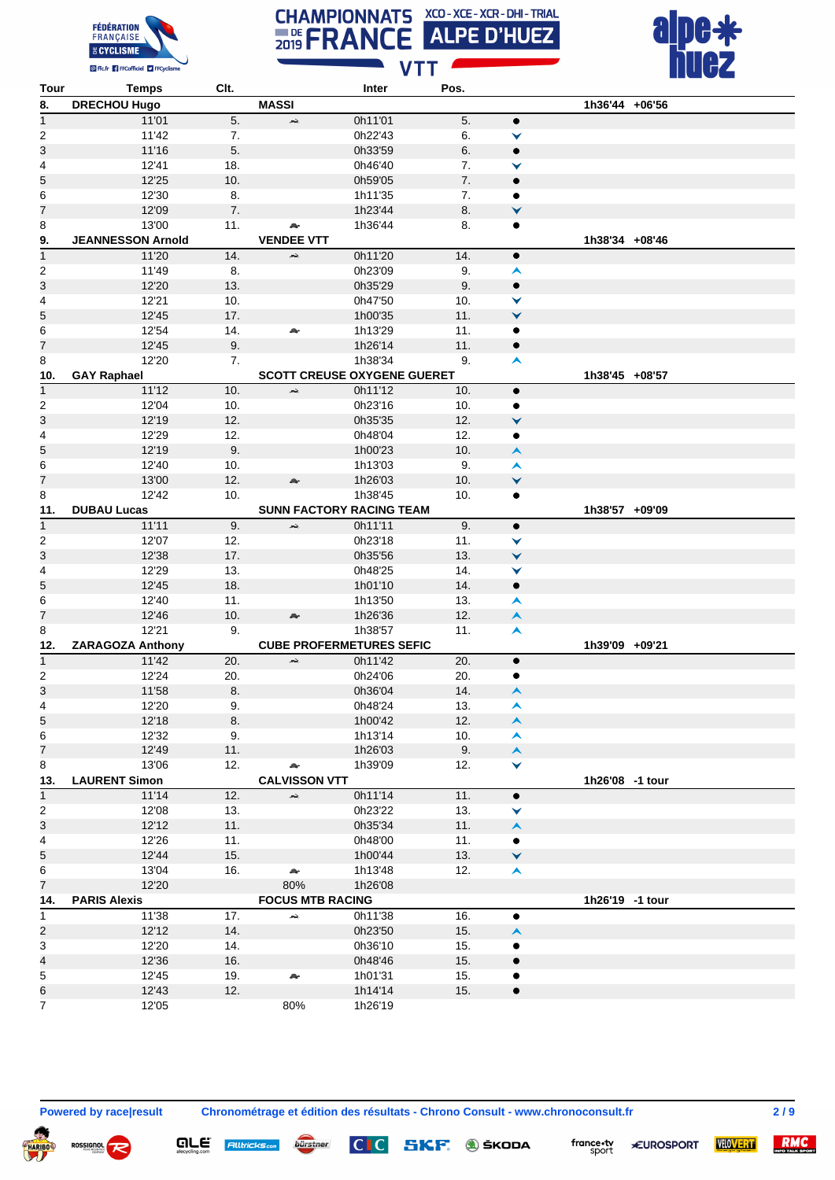





| Tour           | <b>Temps</b>             | Clt. |                         | Inter                              | Pos. |                      |                 |  |
|----------------|--------------------------|------|-------------------------|------------------------------------|------|----------------------|-----------------|--|
| 8.             | <b>DRECHOU Hugo</b>      |      | <b>MASSI</b>            |                                    |      |                      | 1h36'44 +06'56  |  |
| $\overline{1}$ | 11'01                    | 5.   | بلعد                    | 0h11'01                            | 5.   | $\bullet$            |                 |  |
| 2              | 11'42                    | 7.   |                         | 0h22'43                            | 6.   | ▼                    |                 |  |
| 3              | 11'16                    | 5.   |                         | 0h33'59                            | 6.   | $\bullet$            |                 |  |
| 4              | 12'41                    | 18.  |                         | 0h46'40                            | 7.   | ✓                    |                 |  |
| 5              | 12'25                    | 10.  |                         | 0h59'05                            | 7.   | $\bullet$            |                 |  |
| 6              | 12'30                    | 8.   |                         | 1h11'35                            | 7.   | ٠                    |                 |  |
| 7              | 12'09                    | 7.   |                         | 1h23'44                            | 8.   | $\checkmark$         |                 |  |
|                | 13'00                    |      |                         |                                    |      |                      |                 |  |
| 8              |                          | 11.  | A.                      | 1h36'44                            | 8.   | $\bullet$            |                 |  |
| 9.             | <b>JEANNESSON Arnold</b> |      | <b>VENDEE VTT</b>       |                                    |      |                      | 1h38'34 +08'46  |  |
| $\overline{1}$ | 11'20                    | 14.  | بمد                     | 0h11'20                            | 14.  | $\bullet$            |                 |  |
| 2              | 11'49                    | 8.   |                         | 0h23'09                            | 9.   | A                    |                 |  |
| 3              | 12'20                    | 13.  |                         | 0h35'29                            | 9.   | $\bullet$            |                 |  |
| 4              | 12'21                    | 10.  |                         | 0h47'50                            | 10.  | ✓                    |                 |  |
| 5              | 12'45                    | 17.  |                         | 1h00'35                            | 11.  | ∀                    |                 |  |
| 6              | 12'54                    | 14.  | A.                      | 1h13'29                            | 11.  | ٠                    |                 |  |
| 7              | 12'45                    | 9.   |                         | 1h26'14                            | 11.  | $\bullet$            |                 |  |
| 8              | 12'20                    | 7.   |                         | 1h38'34                            | 9.   | $\blacktriangle$     |                 |  |
| 10.            | <b>GAY Raphael</b>       |      |                         | <b>SCOTT CREUSE OXYGENE GUERET</b> |      |                      | 1h38'45 +08'57  |  |
| $\mathbf{1}$   | 11'12                    | 10.  | жè,                     | 0h11'12                            | 10.  | $\bullet$            |                 |  |
| 2              | 12'04                    | 10.  |                         | 0h23'16                            | 10.  | ٠                    |                 |  |
| 3              | 12'19                    | 12.  |                         | 0h35'35                            | 12.  | ▼                    |                 |  |
| 4              | 12'29                    | 12.  |                         | 0h48'04                            | 12.  | ٠                    |                 |  |
| 5              | 12'19                    | 9.   |                         | 1h00'23                            | 10.  | $\blacktriangle$     |                 |  |
|                | 12'40                    | 10.  |                         |                                    | 9.   | $\blacktriangle$     |                 |  |
| 6              |                          |      |                         | 1h13'03                            |      |                      |                 |  |
| 7              | 13'00                    | 12.  | A.                      | 1h26'03                            | 10.  | $\checkmark$         |                 |  |
| 8              | 12'42                    | 10.  |                         | 1h38'45                            | 10.  | $\bullet$            |                 |  |
| 11.            | <b>DUBAU Lucas</b>       |      |                         | <b>SUNN FACTORY RACING TEAM</b>    |      |                      | 1h38'57 +09'09  |  |
| $\mathbf{1}$   | 11'11                    | 9.   | жè,                     | 0h11'11                            | 9.   | $\bullet$            |                 |  |
| 2              | 12'07                    | 12.  |                         | 0h23'18                            | 11.  | ▼                    |                 |  |
| 3              | 12'38                    | 17.  |                         | 0h35'56                            | 13.  | $\checkmark$         |                 |  |
| 4              | 12'29                    | 13.  |                         | 0h48'25                            | 14.  | ▼                    |                 |  |
| 5              | 12'45                    | 18.  |                         | 1h01'10                            | 14.  | $\bullet$            |                 |  |
| 6              | 12'40                    | 11.  |                         | 1h13'50                            | 13.  | $\blacktriangle$     |                 |  |
| 7              | 12'46                    | 10.  | A.                      | 1h26'36                            | 12.  | $\blacktriangle$     |                 |  |
| 8              | 12'21                    | 9.   |                         | 1h38'57                            | 11.  | $\blacktriangle$     |                 |  |
| 12.            | ZARAGOZA Anthony         |      |                         | <b>CUBE PROFERMETURES SEFIC</b>    |      |                      | 1h39'09 +09'21  |  |
| $\mathbf{1}$   | 11'42                    | 20.  | жè,                     | 0h11'42                            | 20.  | $\bullet$            |                 |  |
| 2              | 12'24                    | 20.  |                         | 0h24'06                            | 20.  | ٠                    |                 |  |
| 3              | 11'58                    | 8.   |                         | 0h36'04                            | 14.  | ∧                    |                 |  |
| 4              | 12'20                    | 9.   |                         | 0h48'24                            | 13.  | ∧                    |                 |  |
|                | 12'18                    | 8.   |                         | 1h00'42                            | 12.  | $\blacktriangle$     |                 |  |
| 5              |                          |      |                         |                                    |      | A                    |                 |  |
| 6              | 12'32                    | 9.   |                         | 1h13'14                            | 10.  |                      |                 |  |
| 7              | 12'49                    | 11.  |                         | 1h26'03                            | 9.   | $\blacktriangle$     |                 |  |
| 8              | 13'06                    | 12.  | A.                      | 1h39'09                            | 12.  | ▼                    |                 |  |
| 13.            | <b>LAURENT Simon</b>     |      | <b>CALVISSON VTT</b>    |                                    |      |                      | 1h26'08 -1 tour |  |
| $\mathbf{1}$   | 11'14                    | 12.  | بمر                     | 0h11'14                            | 11.  | $\bullet$            |                 |  |
| 2              | 12'08                    | 13.  |                         | 0h23'22                            | 13.  | ∀                    |                 |  |
| 3              | 12'12                    | 11.  |                         | 0h35'34                            | 11.  | $\blacktriangle$     |                 |  |
| 4              | 12'26                    | 11.  |                         | 0h48'00                            | 11.  | ٠                    |                 |  |
| 5              | 12'44                    | 15.  |                         | 1h00'44                            | 13.  | $\blacktriangledown$ |                 |  |
| 6              | 13'04                    | 16.  | A.                      | 1h13'48                            | 12.  | $\blacktriangle$     |                 |  |
| 7              | 12'20                    |      | 80%                     | 1h26'08                            |      |                      |                 |  |
| 14.            | <b>PARIS Alexis</b>      |      | <b>FOCUS MTB RACING</b> |                                    |      |                      | 1h26'19 -1 tour |  |
| $\mathbf{1}$   | 11'38                    | 17.  | жè,                     | 0h11'38                            | 16.  | $\bullet$            |                 |  |
| 2              | 12'12                    | 14.  |                         | 0h23'50                            | 15.  | ∧                    |                 |  |
| 3              | 12'20                    | 14.  |                         | 0h36'10                            | 15.  | ٠                    |                 |  |
| 4              | 12'36                    | 16.  |                         | 0h48'46                            | 15.  | ٠                    |                 |  |
| 5              | 12'45                    | 19.  | æ.                      | 1h01'31                            | 15.  | ٠                    |                 |  |
| 6              | 12'43                    | 12.  |                         | 1h14'14                            | 15.  | $\bullet$            |                 |  |
| 7              | 12'05                    |      | 80%                     | 1h26'19                            |      |                      |                 |  |
|                |                          |      |                         |                                    |      |                      |                 |  |

**QLE** Alltricks.com burstner

**Powered by race|result Chronométrage et édition des résultats - Chrono Consult - www.chronoconsult.fr 2 / 9**

 $CIC$ 

SKF. **J** ŠKODA



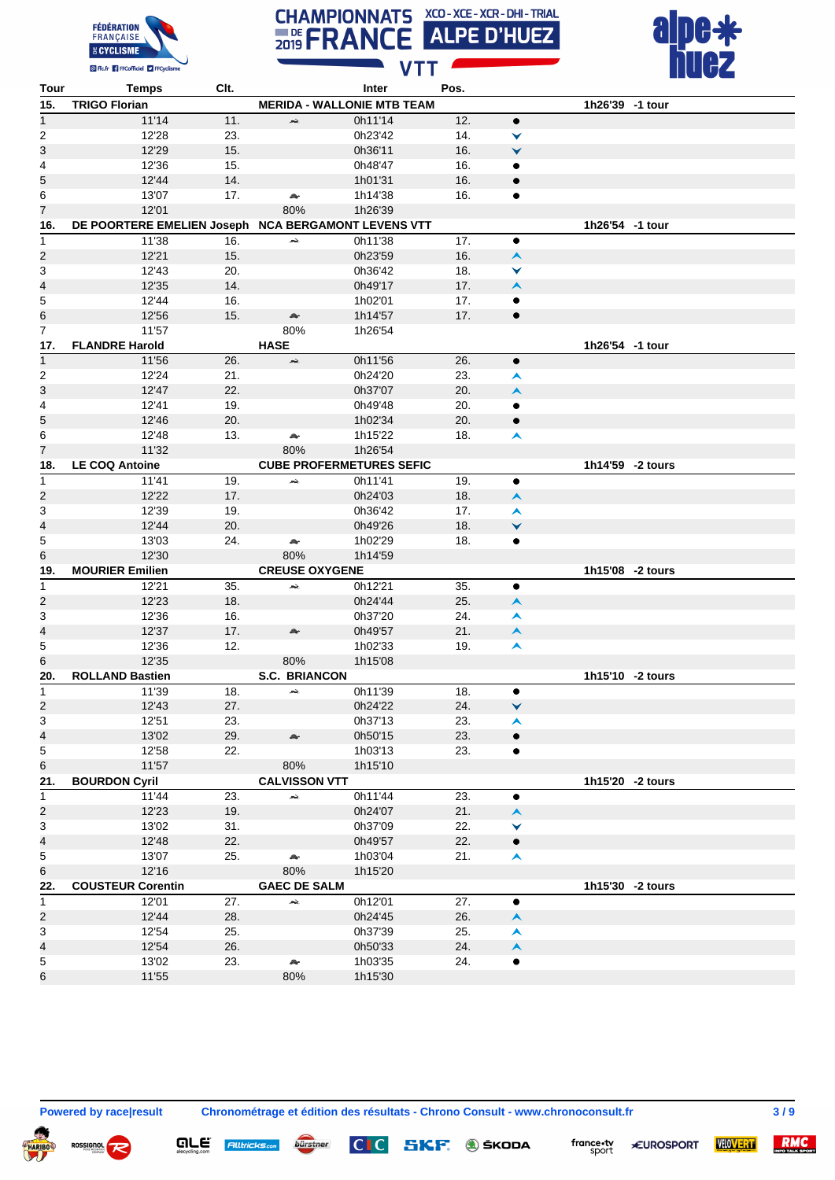





| Tour                    | Temps                                               | Clt. |                                   | Inter   | Pos. |                  |                  |                  |
|-------------------------|-----------------------------------------------------|------|-----------------------------------|---------|------|------------------|------------------|------------------|
| 15.                     | <b>TRIGO Florian</b>                                |      | <b>MERIDA - WALLONIE MTB TEAM</b> |         |      |                  | 1h26'39 -1 tour  |                  |
| $\mathbf{1}$            | 11'14                                               | 11.  | بحد                               | 0h11'14 | 12.  | $\bullet$        |                  |                  |
| $\overline{2}$          | 12'28                                               | 23.  |                                   | 0h23'42 | 14.  | ▼                |                  |                  |
| 3                       | 12'29                                               | 15.  |                                   | 0h36'11 | 16.  | $\checkmark$     |                  |                  |
| 4                       | 12'36                                               | 15.  |                                   | 0h48'47 | 16.  | ٠                |                  |                  |
| 5                       | 12'44                                               | 14.  |                                   | 1h01'31 | 16.  | $\bullet$        |                  |                  |
| 6                       | 13'07                                               | 17.  | A.                                | 1h14'38 | 16.  | ٠                |                  |                  |
| 7                       | 12'01                                               |      | 80%                               | 1h26'39 |      |                  |                  |                  |
|                         | DE POORTERE EMELIEN Joseph NCA BERGAMONT LEVENS VTT |      |                                   |         |      |                  | 1h26'54 -1 tour  |                  |
| 16.                     |                                                     |      |                                   |         |      |                  |                  |                  |
| $\mathbf{1}$            | 11'38                                               | 16.  | بحد                               | 0h11'38 | 17.  | $\bullet$        |                  |                  |
| 2                       | 12'21                                               | 15.  |                                   | 0h23'59 | 16.  | $\blacktriangle$ |                  |                  |
| 3                       | 12'43                                               | 20.  |                                   | 0h36'42 | 18.  | ▼                |                  |                  |
| 4                       | 12'35                                               | 14.  |                                   | 0h49'17 | 17.  | $\blacktriangle$ |                  |                  |
| 5                       | 12'44                                               | 16.  |                                   | 1h02'01 | 17.  | $\bullet$        |                  |                  |
| 6                       | 12'56                                               | 15.  | $\triangle$                       | 1h14'57 | 17.  | $\bullet$        |                  |                  |
| 7                       | 11'57                                               |      | 80%                               | 1h26'54 |      |                  |                  |                  |
| 17.                     | <b>FLANDRE Harold</b>                               |      | <b>HASE</b>                       |         |      |                  | 1h26'54 -1 tour  |                  |
| $\mathbf{1}$            | 11'56                                               | 26.  | жè.                               | 0h11'56 | 26.  | $\bullet$        |                  |                  |
| 2                       | 12'24                                               | 21.  |                                   | 0h24'20 | 23.  | A                |                  |                  |
| 3                       | 12'47                                               | 22.  |                                   | 0h37'07 | 20.  | $\blacktriangle$ |                  |                  |
| 4                       | 12'41                                               | 19.  |                                   | 0h49'48 | 20.  | ٠                |                  |                  |
| 5                       | 12'46                                               | 20.  |                                   | 1h02'34 | 20.  | $\bullet$        |                  |                  |
| 6                       | 12'48                                               | 13.  | æ.                                | 1h15'22 | 18.  | $\blacktriangle$ |                  |                  |
| 7                       | 11'32                                               |      | 80%                               | 1h26'54 |      |                  |                  |                  |
| 18.                     | <b>LE COQ Antoine</b>                               |      | <b>CUBE PROFERMETURES SEFIC</b>   |         |      |                  | 1h14'59 -2 tours |                  |
| $\mathbf{1}$            | 11'41                                               | 19.  | بحد                               | 0h11'41 | 19.  | $\bullet$        |                  |                  |
| 2                       | 12'22                                               | 17.  |                                   | 0h24'03 | 18.  | $\blacktriangle$ |                  |                  |
| 3                       | 12'39                                               | 19.  |                                   | 0h36'42 | 17.  | A                |                  |                  |
| 4                       | 12'44                                               | 20.  |                                   | 0h49'26 | 18.  | V                |                  |                  |
| 5                       | 13'03                                               | 24.  | $\mathbb{A}^{\mathbb{A}}$         | 1h02'29 | 18.  |                  |                  |                  |
| 6                       | 12'30                                               |      | 80%                               |         |      | ٠                |                  |                  |
|                         |                                                     |      |                                   | 1h14'59 |      |                  |                  |                  |
| 19.                     | <b>MOURIER Emilien</b>                              |      | <b>CREUSE OXYGENE</b>             |         |      |                  | 1h15'08 -2 tours |                  |
| $\mathbf{1}$            | 12'21                                               | 35.  | بمعر                              | 0h12'21 | 35.  | $\bullet$        |                  |                  |
| $\overline{2}$          | 12'23                                               | 18.  |                                   | 0h24'44 | 25.  | $\blacktriangle$ |                  |                  |
| 3                       | 12'36                                               | 16.  |                                   | 0h37'20 | 24.  | $\blacktriangle$ |                  |                  |
| 4                       | 12'37                                               | 17.  | ør.                               | 0h49'57 | 21.  | $\blacktriangle$ |                  |                  |
| 5                       | 12'36                                               | 12.  |                                   | 1h02'33 | 19.  | $\blacktriangle$ |                  |                  |
| 6                       | 12'35                                               |      | 80%                               | 1h15'08 |      |                  |                  |                  |
| 20.                     | <b>ROLLAND Bastien</b>                              |      | <b>S.C. BRIANCON</b>              |         |      |                  | 1h15'10 -2 tours |                  |
| 1                       | 11'39                                               | 18.  | جعر                               | 0h11'39 | 18.  | $\bullet$        |                  |                  |
| $\overline{2}$          | 12'43                                               | 27.  |                                   | 0h24'22 | 24.  | ∀                |                  |                  |
| 3                       | 12'51                                               | 23.  |                                   | 0h37'13 | 23.  | $\blacktriangle$ |                  |                  |
| 4                       | 13'02                                               | 29.  | æ.                                | 0h50'15 | 23.  | $\bullet$        |                  |                  |
| 5                       | 12'58                                               | 22.  |                                   | 1h03'13 | 23.  | ٠                |                  |                  |
| 6                       | 11'57                                               |      | 80%                               | 1h15'10 |      |                  |                  |                  |
| 21.                     | <b>BOURDON Cyril</b>                                |      | <b>CALVISSON VTT</b>              |         |      |                  |                  | 1h15'20 -2 tours |
| $\mathbf{1}$            | 11'44                                               | 23.  | жè,                               | 0h11'44 | 23.  | $\bullet$        |                  |                  |
| $\overline{\mathbf{c}}$ | 12'23                                               | 19.  |                                   | 0h24'07 | 21.  | $\blacktriangle$ |                  |                  |
| 3                       | 13'02                                               | 31.  |                                   | 0h37'09 | 22.  | ▼                |                  |                  |
| 4                       | 12'48                                               | 22.  |                                   | 0h49'57 | 22.  | $\bullet$        |                  |                  |
| 5                       | 13'07                                               | 25.  | A.                                | 1h03'04 | 21.  | $\blacktriangle$ |                  |                  |
| 6                       | 12'16                                               |      | 80%                               | 1h15'20 |      |                  |                  |                  |
| 22.                     | <b>COUSTEUR Corentin</b>                            |      | <b>GAEC DE SALM</b>               |         |      |                  |                  | 1h15'30 -2 tours |
|                         | 12'01                                               | 27.  |                                   | 0h12'01 | 27.  |                  |                  |                  |
| $\mathbf{1}$            |                                                     |      | بحد                               |         |      | $\bullet$        |                  |                  |
| $\overline{\mathbf{c}}$ | 12'44                                               | 28.  |                                   | 0h24'45 | 26.  | $\blacktriangle$ |                  |                  |
| 3                       | 12'54                                               | 25.  |                                   | 0h37'39 | 25.  | ㅅ                |                  |                  |
| 4                       | 12'54                                               | 26.  |                                   | 0h50'33 | 24.  | $\blacktriangle$ |                  |                  |
| 5                       | 13'02                                               | 23.  | $\mathcal{P}^{\mathcal{C}}$       | 1h03'35 | 24.  | ٠                |                  |                  |
| 6                       | 11'55                                               |      | 80%                               | 1h15'30 |      |                  |                  |                  |

 $\boldsymbol{\varphi}$ 

**QLE** Alltricks<sub>com</sub> bürstner

**Powered by race|result Chronométrage et édition des résultats - Chrono Consult - www.chronoconsult.fr 3 / 9**

 $CI$ 





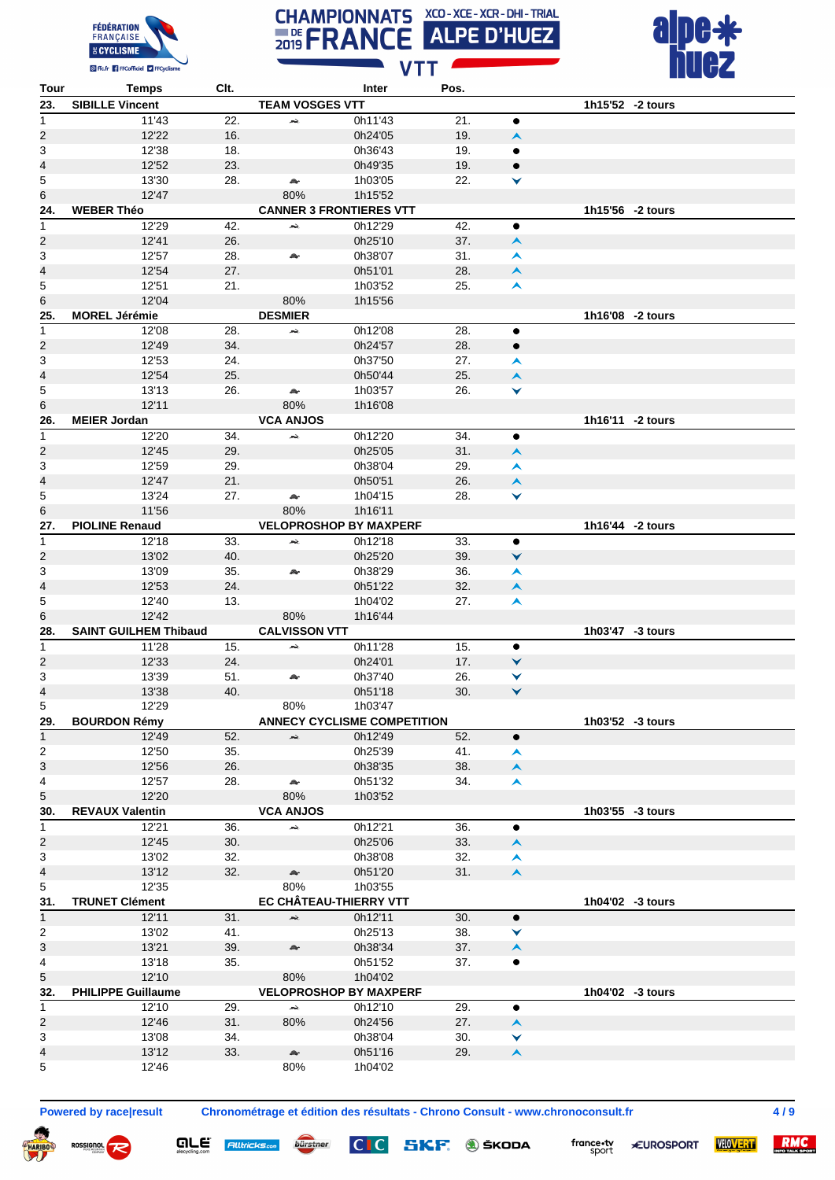





| Tour                      | <b>Temps</b>                 | CIt. |                        | Inter                              | Pos. |                  |                  |                  |
|---------------------------|------------------------------|------|------------------------|------------------------------------|------|------------------|------------------|------------------|
| 23.                       | <b>SIBILLE Vincent</b>       |      | <b>TEAM VOSGES VTT</b> |                                    |      |                  |                  | 1h15'52 -2 tours |
| 1                         | 11'43                        | 22.  | بجعر                   | 0h11'43                            | 21.  | ٠                |                  |                  |
| 2                         | 12'22                        | 16.  |                        | 0h24'05                            | 19.  | $\blacktriangle$ |                  |                  |
| $\mathsf 3$               | 12'38                        | 18.  |                        | 0h36'43                            | 19.  | ٠                |                  |                  |
| 4                         | 12'52                        | 23.  |                        | 0h49'35                            | 19.  | $\bullet$        |                  |                  |
| 5                         | 13'30                        | 28.  | $\rightarrow$          | 1h03'05                            | 22.  | ⋎                |                  |                  |
| 6                         | 12'47                        |      | 80%                    | 1h15'52                            |      |                  |                  |                  |
| 24.                       | <b>WEBER Théo</b>            |      |                        | <b>CANNER 3 FRONTIERES VTT</b>     |      |                  |                  | 1h15'56 -2 tours |
|                           |                              |      |                        |                                    |      |                  |                  |                  |
| 1                         | 12'29                        | 42.  | жè,                    | 0h12'29                            | 42.  | ٠                |                  |                  |
| 2                         | 12'41                        | 26.  |                        | 0h25'10                            | 37.  | $\blacktriangle$ |                  |                  |
| 3                         | 12'57                        | 28.  | A.                     | 0h38'07                            | 31.  | ㅅ                |                  |                  |
| 4                         | 12'54                        | 27.  |                        | 0h51'01                            | 28.  | $\blacktriangle$ |                  |                  |
| $\overline{\mathbf{5}}$   | 12'51                        | 21.  |                        | 1h03'52                            | 25.  | A                |                  |                  |
| 6                         | 12'04                        |      | 80%                    | 1h15'56                            |      |                  |                  |                  |
| 25.                       | <b>MOREL Jérémie</b>         |      | <b>DESMIER</b>         |                                    |      |                  | 1h16'08 -2 tours |                  |
| 1                         | 12'08                        | 28.  | ×                      | 0h12'08                            | 28.  | $\bullet$        |                  |                  |
| 2                         | 12'49                        | 34.  |                        | 0h24'57                            | 28.  | $\bullet$        |                  |                  |
| $\overline{3}$            | 12'53                        | 24.  |                        | 0h37'50                            | 27.  | ㅅ                |                  |                  |
| 4                         | 12'54                        | 25.  |                        | 0h50'44                            | 25.  | $\blacktriangle$ |                  |                  |
| 5                         | 13'13                        | 26.  | A.                     | 1h03'57                            | 26.  | ▼                |                  |                  |
| 6                         | 12'11                        |      | 80%                    | 1h16'08                            |      |                  |                  |                  |
|                           |                              |      |                        |                                    |      |                  |                  | 1h16'11 -2 tours |
| 26.                       | <b>MEIER Jordan</b>          |      | <b>VCA ANJOS</b>       |                                    |      |                  |                  |                  |
| 1                         | 12'20                        | 34.  | بمعر                   | 0h12'20                            | 34.  | $\bullet$        |                  |                  |
| 2                         | 12'45                        | 29.  |                        | 0h25'05                            | 31.  | $\blacktriangle$ |                  |                  |
| 3                         | 12'59                        | 29.  |                        | 0h38'04                            | 29.  | ㅅ                |                  |                  |
| 4                         | 12'47                        | 21.  |                        | 0h50'51                            | 26.  | $\blacktriangle$ |                  |                  |
| 5                         | 13'24                        | 27.  | A.                     | 1h04'15                            | 28.  | ∀                |                  |                  |
| 6                         | 11'56                        |      | 80%                    | 1h16'11                            |      |                  |                  |                  |
| 27.                       | <b>PIOLINE Renaud</b>        |      |                        | <b>VELOPROSHOP BY MAXPERF</b>      |      |                  |                  | 1h16'44 -2 tours |
| 1                         | 12'18                        | 33.  | بمعر                   | 0h12'18                            | 33.  | $\bullet$        |                  |                  |
| 2                         | 13'02                        | 40.  |                        | 0h25'20                            | 39.  | ∀                |                  |                  |
| $\sqrt{3}$                | 13'09                        | 35.  | A.                     | 0h38'29                            | 36.  | A                |                  |                  |
| 4                         | 12'53                        | 24.  |                        | 0h51'22                            | 32.  | $\blacktriangle$ |                  |                  |
| 5                         | 12'40                        | 13.  |                        | 1h04'02                            | 27.  | A                |                  |                  |
| 6                         | 12'42                        |      | 80%                    | 1h16'44                            |      |                  |                  |                  |
|                           |                              |      |                        |                                    |      |                  |                  |                  |
| 28.                       | <b>SAINT GUILHEM Thibaud</b> |      | <b>CALVISSON VTT</b>   |                                    |      |                  | 1h03'47 -3 tours |                  |
| 1                         | 11'28                        | 15.  | بمد                    | 0h11'28                            | 15.  | ٠                |                  |                  |
| 2                         | 12'33                        | 24.  |                        | 0h24'01                            | 17.  | ∀                |                  |                  |
| 3                         | 13'39                        | 51.  | A.                     | 0h37'40                            | 26.  | ⋎                |                  |                  |
| 4                         | 13'38                        | 40.  |                        | 0h51'18                            | 30.  | ▼                |                  |                  |
| 5                         | 12'29                        |      | 80%                    | 1h03'47                            |      |                  |                  |                  |
| 29.                       | <b>BOURDON Rémy</b>          |      |                        | <b>ANNECY CYCLISME COMPETITION</b> |      |                  |                  | 1h03'52 -3 tours |
| $\mathbf{1}$              | 12'49                        | 52.  | بقعر                   | 0h12'49                            | 52.  | $\bullet$        |                  |                  |
| $\overline{2}$            | 12'50                        | 35.  |                        | 0h25'39                            | 41.  | $\blacktriangle$ |                  |                  |
| 3                         | 12'56                        | 26.  |                        | 0h38'35                            | 38.  | $\blacktriangle$ |                  |                  |
| $\overline{\mathbf{4}}$   | 12'57                        | 28.  | A.                     | 0h51'32                            | 34.  | $\blacktriangle$ |                  |                  |
| 5                         | 12'20                        |      | 80%                    | 1h03'52                            |      |                  |                  |                  |
| 30.                       | <b>REVAUX Valentin</b>       |      | <b>VCA ANJOS</b>       |                                    |      |                  |                  | 1h03'55 -3 tours |
| 1                         | 12'21                        | 36.  | жè,                    | 0h12'21                            | 36.  | ٠                |                  |                  |
|                           |                              |      |                        |                                    |      |                  |                  |                  |
| 2                         | 12'45                        | 30.  |                        | 0h25'06                            | 33.  | $\blacktriangle$ |                  |                  |
| $\ensuremath{\mathsf{3}}$ | 13'02                        | 32.  |                        | 0h38'08                            | 32.  | $\blacktriangle$ |                  |                  |
| 4                         | 13'12                        | 32.  | A.                     | 0h51'20                            | 31.  | $\blacktriangle$ |                  |                  |
| 5                         | 12'35                        |      | 80%                    | 1h03'55                            |      |                  |                  |                  |
| 31.                       | <b>TRUNET Clément</b>        |      |                        | EC CHÂTEAU-THIERRY VTT             |      |                  |                  | 1h04'02 -3 tours |
| $\mathbf{1}$              | 12'11                        | 31.  | ×,                     | 0h12'11                            | 30.  | $\bullet$        |                  |                  |
| $\overline{\mathbf{c}}$   | 13'02                        | 41.  |                        | 0h25'13                            | 38.  | ▼                |                  |                  |
| 3                         | 13'21                        | 39.  | Ar                     | 0h38'34                            | 37.  | $\blacktriangle$ |                  |                  |
| 4                         | 13'18                        | 35.  |                        | 0h51'52                            | 37.  | $\bullet$        |                  |                  |
| 5                         | 12'10                        |      | 80%                    | 1h04'02                            |      |                  |                  |                  |
| 32.                       | <b>PHILIPPE Guillaume</b>    |      |                        | <b>VELOPROSHOP BY MAXPERF</b>      |      |                  |                  | 1h04'02 -3 tours |
| $\mathbf{1}$              | 12'10                        | 29.  | ж.                     | 0h12'10                            | 29.  | $\bullet$        |                  |                  |
| 2                         | 12'46                        | 31.  | 80%                    | 0h24'56                            | 27.  | $\blacktriangle$ |                  |                  |
| 3                         | 13'08                        | 34.  |                        | 0h38'04                            | 30.  | ▼                |                  |                  |
|                           |                              |      |                        |                                    |      |                  |                  |                  |
| 4                         | 13'12                        | 33.  | æ.                     | 0h51'16                            | 29.  | $\blacktriangle$ |                  |                  |
| 5                         | 12'46                        |      | 80%                    | 1h04'02                            |      |                  |                  |                  |

ROSSIGNOL

**QLE** Alltricks<sub>com</sub> bürstner

**Powered by race|result Chronométrage et édition des résultats - Chrono Consult - www.chronoconsult.fr 4 / 9**

 $CIC$ 

SKF. **J** ŠKODA



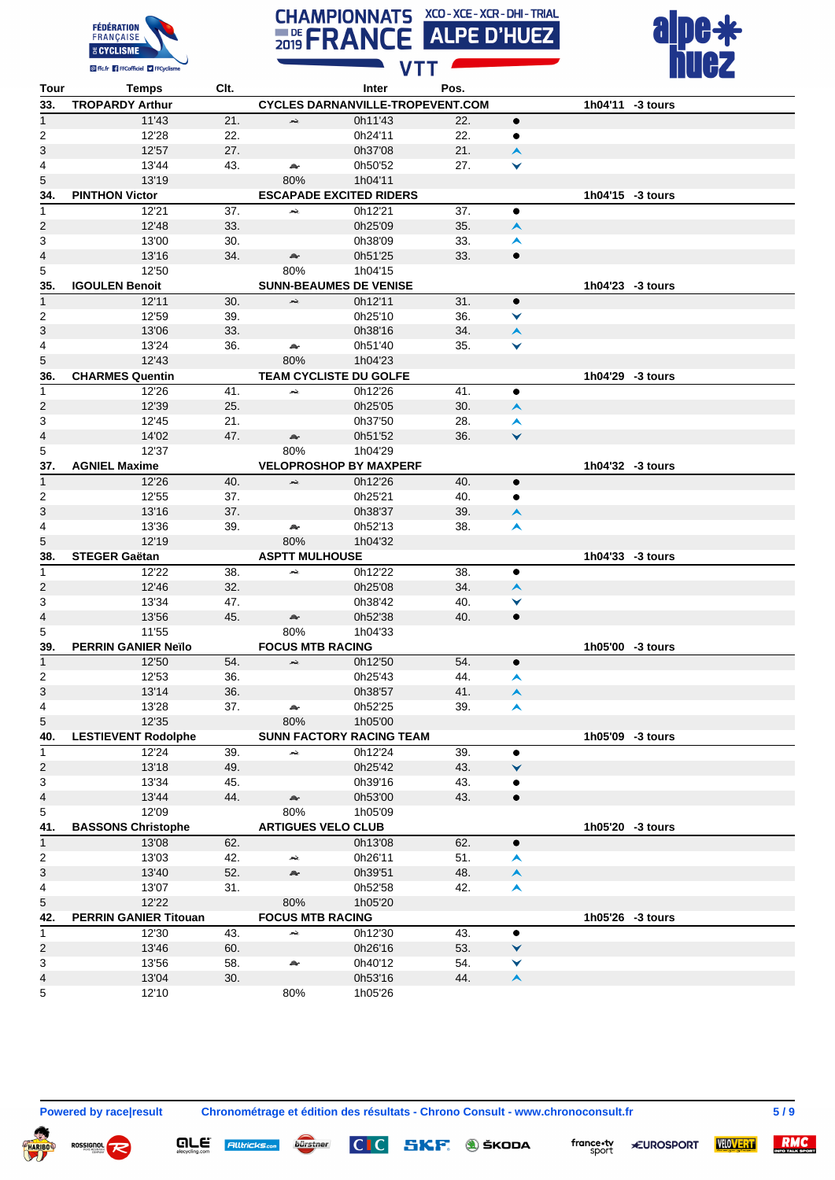





| Tour                    | Temps                        | Clt. |                           | Inter                                   | Pos. |                  |                  |
|-------------------------|------------------------------|------|---------------------------|-----------------------------------------|------|------------------|------------------|
| 33.                     | <b>TROPARDY Arthur</b>       |      |                           | <b>CYCLES DARNANVILLE-TROPEVENT.COM</b> |      |                  | 1h04'11 -3 tours |
| $\mathbf{1}$            | 11'43                        | 21.  | بحد                       | 0h11'43                                 | 22.  | $\bullet$        |                  |
| 2                       | 12'28                        | 22.  |                           | 0h24'11                                 | 22.  | ٠                |                  |
| 3                       | 12'57                        | 27.  |                           | 0h37'08                                 | 21.  | $\blacktriangle$ |                  |
| $\overline{\mathbf{4}}$ | 13'44                        | 43.  | æ.                        | 0h50'52                                 | 27.  | ▼                |                  |
| 5                       | 13'19                        |      | 80%                       | 1h04'11                                 |      |                  |                  |
| 34.                     | <b>PINTHON Victor</b>        |      |                           | <b>ESCAPADE EXCITED RIDERS</b>          |      |                  | 1h04'15 -3 tours |
| $\mathbf{1}$            | 12'21                        | 37.  | بجعر                      | 0h12'21                                 | 37.  | $\bullet$        |                  |
| 2                       | 12'48                        | 33.  |                           | 0h25'09                                 | 35.  | $\blacktriangle$ |                  |
| 3                       | 13'00                        | 30.  |                           | 0h38'09                                 | 33.  | A                |                  |
| 4                       | 13'16                        | 34.  | A.                        | 0h51'25                                 | 33.  | $\bullet$        |                  |
|                         |                              |      |                           |                                         |      |                  |                  |
| 5                       | 12'50                        |      | 80%                       | 1h04'15                                 |      |                  |                  |
| 35.                     | <b>IGOULEN Benoit</b>        |      |                           | <b>SUNN-BEAUMES DE VENISE</b>           |      |                  | 1h04'23 -3 tours |
| $\overline{1}$          | 12'11                        | 30.  | بقعر                      | 0h12'11                                 | 31.  | $\bullet$        |                  |
| 2                       | 12'59                        | 39.  |                           | 0h25'10                                 | 36.  | ▼                |                  |
| 3                       | 13'06                        | 33.  |                           | 0h38'16                                 | 34.  | $\blacktriangle$ |                  |
| 4                       | 13'24                        | 36.  | A.                        | 0h51'40                                 | 35.  | ▼                |                  |
| 5                       | 12'43                        |      | 80%                       | 1h04'23                                 |      |                  |                  |
| 36.                     | <b>CHARMES Quentin</b>       |      |                           | TEAM CYCLISTE DU GOLFE                  |      |                  | 1h04'29 -3 tours |
| $\mathbf{1}$            | 12'26                        | 41.  | жè,                       | 0h12'26                                 | 41.  | $\bullet$        |                  |
| 2                       | 12'39                        | 25.  |                           | 0h25'05                                 | 30.  | $\blacktriangle$ |                  |
| 3                       | 12'45                        | 21.  |                           | 0h37'50                                 | 28.  | ▴                |                  |
| 4                       | 14'02                        | 47.  | æ.                        | 0h51'52                                 | 36.  | $\checkmark$     |                  |
| 5                       | 12'37                        |      | 80%                       | 1h04'29                                 |      |                  |                  |
| 37.                     | <b>AGNIEL Maxime</b>         |      |                           | <b>VELOPROSHOP BY MAXPERF</b>           |      |                  | 1h04'32 -3 tours |
| $\mathbf{1}$            | 12'26                        | 40.  | بحد                       | 0h12'26                                 | 40.  | $\bullet$        |                  |
| 2                       | 12'55                        | 37.  |                           | 0h25'21                                 | 40.  | ٠                |                  |
| 3                       | 13'16                        | 37.  |                           | 0h38'37                                 | 39.  | $\blacktriangle$ |                  |
| $\overline{4}$          | 13'36                        | 39.  | æ.                        | 0h52'13                                 | 38.  | Ā                |                  |
| 5                       | 12'19                        |      | 80%                       | 1h04'32                                 |      |                  |                  |
| 38.                     | <b>STEGER Gaëtan</b>         |      | <b>ASPTT MULHOUSE</b>     |                                         |      |                  | 1h04'33 -3 tours |
| $\overline{1}$          | 12'22                        | 38.  | بجعر                      | 0h12'22                                 | 38.  | $\bullet$        |                  |
| 2                       | 12'46                        | 32.  |                           | 0h25'08                                 | 34.  | $\blacktriangle$ |                  |
| 3                       | 13'34                        | 47.  |                           | 0h38'42                                 | 40.  | ▼                |                  |
| 4                       | 13'56                        | 45.  | Ar                        | 0h52'38                                 | 40.  | $\bullet$        |                  |
| 5                       | 11'55                        |      | 80%                       | 1h04'33                                 |      |                  |                  |
| 39.                     | <b>PERRIN GANIER Neïlo</b>   |      | <b>FOCUS MTB RACING</b>   |                                         |      |                  | 1h05'00 -3 tours |
| $\mathbf{1}$            |                              |      |                           |                                         | 54.  |                  |                  |
|                         | 12'50                        | 54.  | بحد                       | 0h12'50                                 |      | $\bullet$        |                  |
| 2                       | 12'53                        | 36.  |                           | 0h25'43                                 | 44.  | A                |                  |
| 3                       | 13'14                        | 36.  |                           | 0h38'57                                 | 41.  | $\blacktriangle$ |                  |
| $\overline{4}$          | 13'28                        | 37.  | A.                        | 0h52'25                                 | 39.  | A                |                  |
| 5                       | 12'35                        |      | 80%                       | 1h05'00                                 |      |                  |                  |
| 40.                     | <b>LESTIEVENT Rodolphe</b>   |      |                           | <b>SUNN FACTORY RACING TEAM</b>         |      |                  | 1h05'09 -3 tours |
| $\mathbf{1}$            | 12'24                        | 39.  | بلعر                      | 0h12'24                                 | 39.  | $\bullet$        |                  |
| 2                       | 13'18                        | 49.  |                           | 0h25'42                                 | 43.  | ▼                |                  |
| 3                       | 13'34                        | 45.  |                           | 0h39'16                                 | 43.  | ٠                |                  |
| 4                       | 13'44                        | 44.  | Ar                        | 0h53'00                                 | 43.  | $\bullet$        |                  |
| 5                       | 12'09                        |      | 80%                       | 1h05'09                                 |      |                  |                  |
| 41.                     | <b>BASSONS Christophe</b>    |      | <b>ARTIGUES VELO CLUB</b> |                                         |      |                  | 1h05'20 -3 tours |
| 1                       | 13'08                        | 62.  |                           | 0h13'08                                 | 62.  | ٠                |                  |
| 2                       | 13'03                        | 42.  | بحد                       | 0h26'11                                 | 51.  | A                |                  |
| 3                       | 13'40                        | 52.  | a.                        | 0h39'51                                 | 48.  | $\blacktriangle$ |                  |
| 4                       | 13'07                        | 31.  |                           | 0h52'58                                 | 42.  | Ā                |                  |
| 5                       | 12'22                        |      | 80%                       | 1h05'20                                 |      |                  |                  |
| 42.                     | <b>PERRIN GANIER Titouan</b> |      | <b>FOCUS MTB RACING</b>   |                                         |      |                  | 1h05'26 -3 tours |
| $\mathbf{1}$            | 12'30                        | 43.  | بلعر                      | 0h12'30                                 | 43.  | ٠                |                  |
| 2                       | 13'46                        | 60.  |                           | 0h26'16                                 | 53.  | ▼                |                  |
| 3                       | 13'56                        | 58.  | æ                         | 0h40'12                                 | 54.  | ⋎                |                  |
| 4                       | 13'04                        | 30.  |                           | 0h53'16                                 | 44.  | $\blacktriangle$ |                  |
| 5                       | 12'10                        |      | 80%                       | 1h05'26                                 |      |                  |                  |
|                         |                              |      |                           |                                         |      |                  |                  |

**QLE** Alltricks<sub>com</sub> bürstner

**Powered by race|result Chronométrage et édition des résultats - Chrono Consult - www.chronoconsult.fr 5 / 9**

 $|C|C|$ 



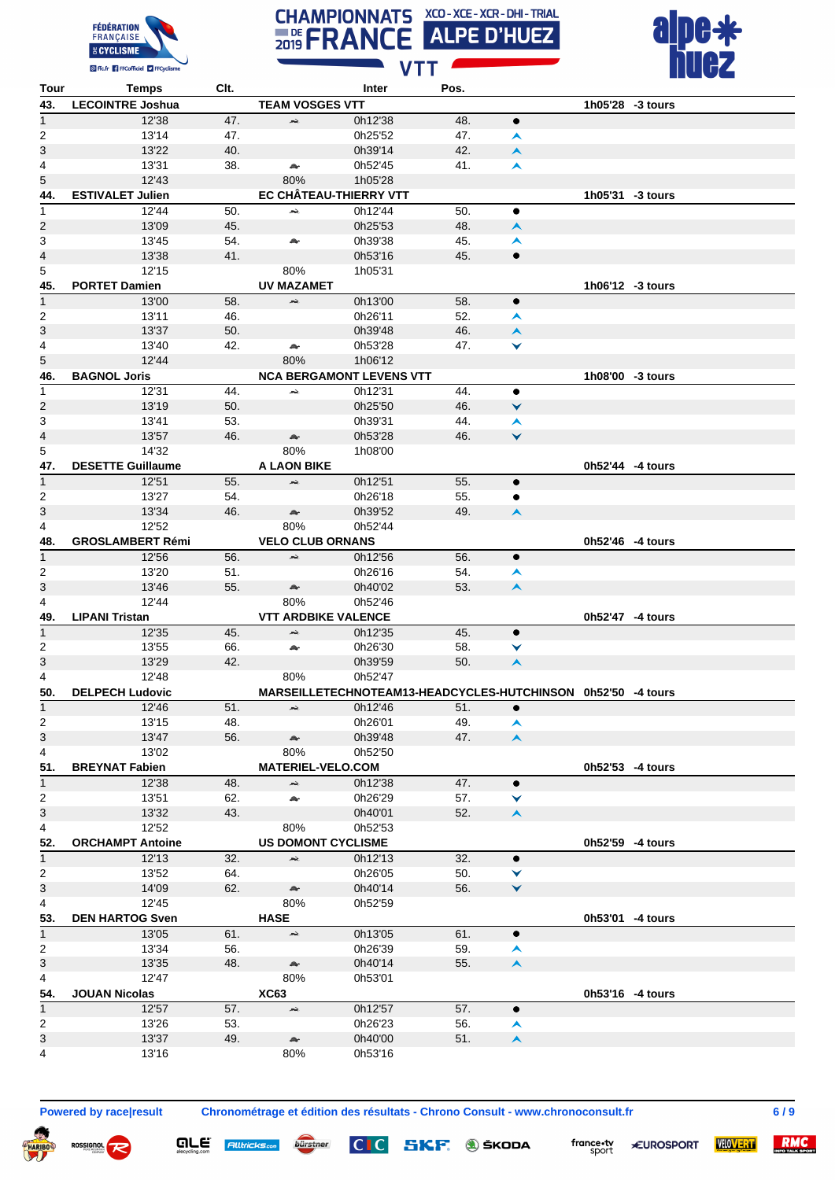





| Tour                    | <b>Temps</b>                    | Clt. |                            | Inter                                                        | Pos. |                  |                  |  |
|-------------------------|---------------------------------|------|----------------------------|--------------------------------------------------------------|------|------------------|------------------|--|
| 43.                     | <b>LECOINTRE Joshua</b>         |      | <b>TEAM VOSGES VTT</b>     |                                                              |      |                  | 1h05'28 -3 tours |  |
| $\mathbf{1}$            | 12'38                           | 47.  | بحد                        | 0h12'38                                                      | 48.  | $\bullet$        |                  |  |
| 2                       | 13'14                           | 47.  |                            | 0h25'52                                                      | 47.  | ㅅ                |                  |  |
| 3                       | 13'22                           | 40.  |                            | 0h39'14                                                      | 42.  | $\blacktriangle$ |                  |  |
| 4                       | 13'31                           | 38.  | æ.                         | 0h52'45                                                      | 41.  | $\blacktriangle$ |                  |  |
| 5                       | 12'43                           |      | 80%                        | 1h05'28                                                      |      |                  |                  |  |
| 44.                     | <b>ESTIVALET Julien</b>         |      |                            | EC CHÂTEAU-THIERRY VTT                                       |      |                  | 1h05'31 -3 tours |  |
| $\mathbf{1}$            | 12'44                           | 50.  | بلعر                       | 0h12'44                                                      | 50.  | $\bullet$        |                  |  |
| 2                       | 13'09                           | 45.  |                            | 0h25'53                                                      | 48.  | $\blacktriangle$ |                  |  |
| 3                       | 13'45                           | 54.  | A.                         | 0h39'38                                                      | 45.  | A                |                  |  |
| 4                       | 13'38                           | 41.  |                            | 0h53'16                                                      | 45.  | $\bullet$        |                  |  |
|                         |                                 |      |                            |                                                              |      |                  |                  |  |
| 5                       | 12'15                           |      | 80%                        | 1h05'31                                                      |      |                  |                  |  |
| 45.                     | <b>PORTET Damien</b>            |      | <b>UV MAZAMET</b>          |                                                              |      |                  | 1h06'12 -3 tours |  |
| $\overline{1}$          | 13'00                           | 58.  | بقعر                       | 0h13'00                                                      | 58.  | $\bullet$        |                  |  |
| 2                       | 13'11                           | 46.  |                            | 0h26'11                                                      | 52.  | A                |                  |  |
| 3                       | 13'37                           | 50.  |                            | 0h39'48                                                      | 46.  | $\blacktriangle$ |                  |  |
| 4                       | 13'40                           | 42.  | $\rightarrow$              | 0h53'28                                                      | 47.  | ▼                |                  |  |
| 5                       | 12'44                           |      | 80%                        | 1h06'12                                                      |      |                  |                  |  |
| 46.                     | <b>BAGNOL Joris</b>             |      |                            | <b>NCA BERGAMONT LEVENS VTT</b>                              |      |                  | 1h08'00 -3 tours |  |
| 1                       | 12'31                           | 44.  | بمعر                       | 0h12'31                                                      | 44.  | $\bullet$        |                  |  |
| 2                       | 13'19                           | 50.  |                            | 0h25'50                                                      | 46.  | V                |                  |  |
| 3                       | 13'41                           | 53.  |                            | 0h39'31                                                      | 44.  | ▴                |                  |  |
| 4                       | 13'57                           | 46.  | A.                         | 0h53'28                                                      | 46.  | Ÿ                |                  |  |
| 5                       | 14'32                           |      | 80%                        | 1h08'00                                                      |      |                  |                  |  |
| 47.                     | <b>DESETTE Guillaume</b>        |      | <b>A LAON BIKE</b>         |                                                              |      |                  | 0h52'44 -4 tours |  |
| $\mathbf{1}$            | 12'51                           | 55.  | بلعد                       | 0h12'51                                                      | 55.  | $\bullet$        |                  |  |
| 2                       | 13'27                           | 54.  |                            | 0h26'18                                                      | 55.  | ٠                |                  |  |
| 3                       | 13'34                           | 46.  | A.                         | 0h39'52                                                      | 49.  | $\blacktriangle$ |                  |  |
| 4                       | 12'52                           |      | 80%                        | 0h52'44                                                      |      |                  |                  |  |
| 48.                     | <b>GROSLAMBERT Rémi</b>         |      | <b>VELO CLUB ORNANS</b>    |                                                              |      |                  | 0h52'46 -4 tours |  |
| $\mathbf{1}$            | 12'56                           | 56.  | بحد                        | 0h12'56                                                      | 56.  | $\bullet$        |                  |  |
| 2                       | 13'20                           | 51.  |                            | 0h26'16                                                      | 54.  | ㅅ                |                  |  |
| 3                       | 13'46                           | 55.  | æ.                         | 0h40'02                                                      | 53.  | $\blacktriangle$ |                  |  |
| 4                       | 12'44                           |      | 80%                        | 0h52'46                                                      |      |                  |                  |  |
| 49.                     | <b>LIPANI Tristan</b>           |      | <b>VTT ARDBIKE VALENCE</b> |                                                              |      |                  | 0h52'47 -4 tours |  |
| $\mathbf{1}$            | 12'35                           | 45.  | بحد                        | 0h12'35                                                      | 45.  | $\bullet$        |                  |  |
| 2                       | 13'55                           | 66.  | æ.                         | 0h26'30                                                      | 58.  | ▼                |                  |  |
| 3                       | 13'29                           | 42.  |                            | 0h39'59                                                      | 50.  | $\blacktriangle$ |                  |  |
|                         |                                 |      |                            |                                                              |      |                  |                  |  |
| 4                       | 12'48<br><b>DELPECH Ludovic</b> |      | 80%                        | 0h52'47                                                      |      |                  |                  |  |
| 50.                     |                                 |      |                            | MARSEILLETECHNOTEAM13-HEADCYCLES-HUTCHINSON 0h52'50 -4 tours |      |                  |                  |  |
| $\mathbf{1}$            | 12'46                           | 51.  | $\rightarrow$              | 0h12'46                                                      | 51.  | $\bullet$        |                  |  |
| $\overline{\mathbf{c}}$ | 13'15                           | 48.  |                            | 0h26'01                                                      | 49.  | $\blacktriangle$ |                  |  |
| 3                       | 13'47                           | 56.  | A.                         | 0h39'48                                                      | 47.  | $\blacktriangle$ |                  |  |
| 4                       | 13'02                           |      | 80%                        | 0h52'50                                                      |      |                  |                  |  |
| 51.                     | <b>BREYNAT Fabien</b>           |      | <b>MATERIEL-VELO.COM</b>   |                                                              |      |                  | 0h52'53 -4 tours |  |
| $\mathbf{1}$            | 12'38                           | 48.  | жè,                        | 0h12'38                                                      | 47.  | ٠                |                  |  |
| 2                       | 13'51                           | 62.  | A.                         | 0h26'29                                                      | 57.  | ▼                |                  |  |
| 3                       | 13'32                           | 43.  |                            | 0h40'01                                                      | 52.  | $\blacktriangle$ |                  |  |
| 4                       | 12'52                           |      | 80%                        | 0h52'53                                                      |      |                  |                  |  |
| 52.                     | <b>ORCHAMPT Antoine</b>         |      | <b>US DOMONT CYCLISME</b>  |                                                              |      |                  | 0h52'59 -4 tours |  |
| $\mathbf{1}$            | 12'13                           | 32.  | بحد                        | 0h12'13                                                      | 32.  | $\bullet$        |                  |  |
| 2                       | 13'52                           | 64.  |                            | 0h26'05                                                      | 50.  | ▼                |                  |  |
| 3                       | 14'09                           | 62.  | $\triangle$                | 0h40'14                                                      | 56.  | ×                |                  |  |
| 4                       | 12'45                           |      | 80%                        | 0h52'59                                                      |      |                  |                  |  |
| 53.                     | <b>DEN HARTOG Sven</b>          |      | <b>HASE</b>                |                                                              |      |                  | 0h53'01 -4 tours |  |
| $\mathbf{1}$            | 13'05                           | 61.  | $\rightarrow$              | 0h13'05                                                      | 61.  | $\bullet$        |                  |  |
| 2                       | 13'34                           | 56.  |                            | 0h26'39                                                      | 59.  | ㅅ                |                  |  |
| 3                       | 13'35                           | 48.  | $\mathbb{A}$               | 0h40'14                                                      | 55.  | $\blacktriangle$ |                  |  |
| 4                       | 12'47                           |      | 80%                        | 0h53'01                                                      |      |                  |                  |  |
| 54.                     | <b>JOUAN Nicolas</b>            |      | <b>XC63</b>                |                                                              |      |                  | 0h53'16 -4 tours |  |
| $\overline{1}$          | 12'57                           | 57.  | æ,                         | 0h12'57                                                      | 57.  | $\bullet$        |                  |  |
|                         |                                 |      |                            |                                                              |      |                  |                  |  |
| $\overline{c}$          | 13'26                           | 53.  |                            | 0h26'23                                                      | 56.  | A                |                  |  |
| 3                       | 13'37                           | 49.  | $\triangle$                | 0h40'00                                                      | 51.  | $\blacktriangle$ |                  |  |
| 4                       | 13'16                           |      | 80%                        | 0h53'16                                                      |      |                  |                  |  |

 $\boldsymbol{\varphi}$ 

**ROSSIGNOL** 

**QLE** Alltricks.com burstner

**Powered by race|result Chronométrage et édition des résultats - Chrono Consult - www.chronoconsult.fr 6 / 9**

**SKF**. **J** ŠKODA

 $CI C$ 



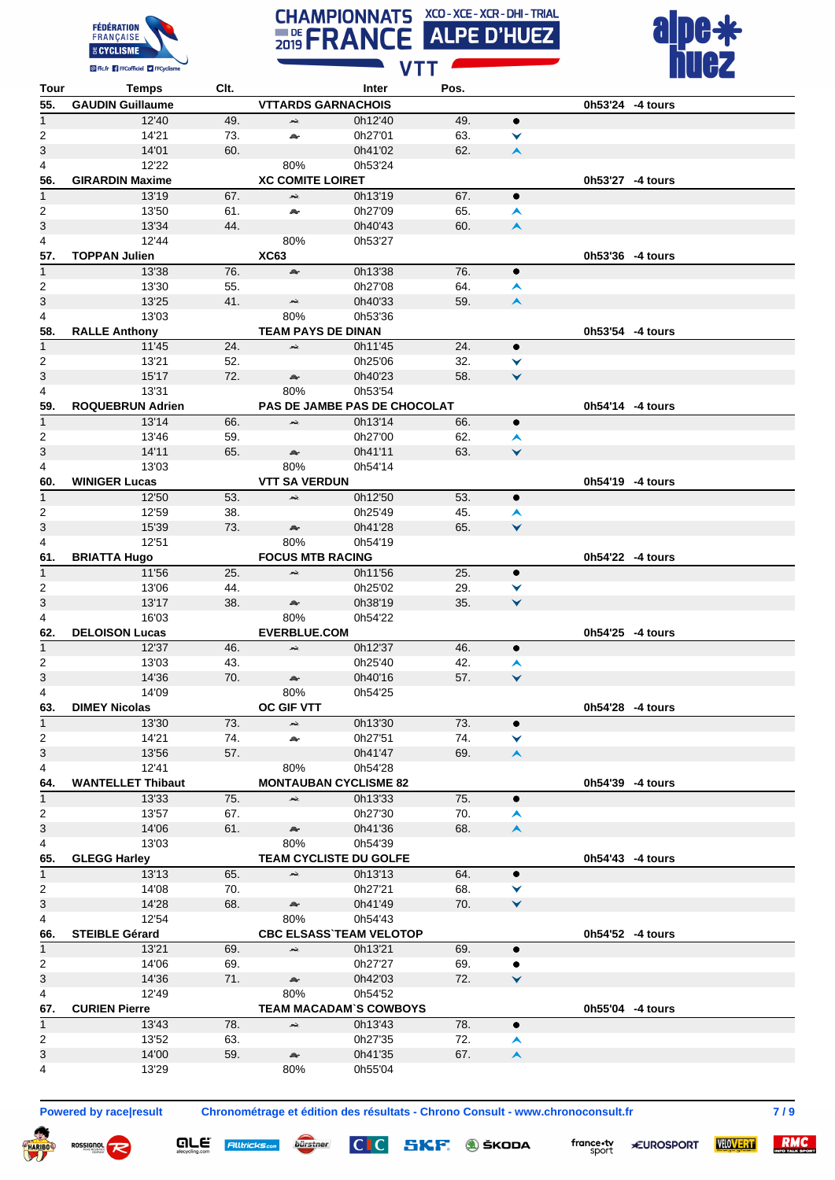





| Tour                    | <b>Temps</b>             | Clt.       |                           | Inter                               | Pos.       |                  |                  |
|-------------------------|--------------------------|------------|---------------------------|-------------------------------------|------------|------------------|------------------|
| 55.                     | <b>GAUDIN Guillaume</b>  |            | <b>VTTARDS GARNACHOIS</b> |                                     |            |                  | 0h53'24 -4 tours |
| $\mathbf{1}$            | 12'40                    | 49.        | بحد                       | 0h12'40                             | 49.        | $\bullet$        |                  |
| 2                       | 14'21                    | 73.        | a,                        | 0h27'01                             | 63.        | ▼                |                  |
| 3                       | 14'01                    | 60.        |                           | 0h41'02                             | 62.        | $\blacktriangle$ |                  |
| 4                       | 12'22                    |            | 80%                       | 0h53'24                             |            |                  |                  |
| 56.                     | <b>GIRARDIN Maxime</b>   |            | <b>XC COMITE LOIRET</b>   |                                     |            |                  | 0h53'27 -4 tours |
| $\mathbf{1}$            | 13'19                    | 67.        | $\rightarrow$             | 0h13'19                             | 67.        | $\bullet$        |                  |
| 2                       | 13'50                    | 61.        | A.                        | 0h27'09                             | 65.        | $\blacktriangle$ |                  |
| 3                       | 13'34                    | 44.        |                           | 0h40'43                             | 60.        | $\blacktriangle$ |                  |
| 4                       | 12'44                    |            | 80%                       | 0h53'27                             |            |                  |                  |
| 57.                     | <b>TOPPAN Julien</b>     |            | <b>XC63</b>               |                                     |            |                  | 0h53'36 -4 tours |
| 1                       | 13'38                    | 76.        | A.                        | 0h13'38                             | 76.        | $\bullet$        |                  |
| 2                       | 13'30                    | 55.        |                           | 0h27'08                             | 64.        | ㅅ                |                  |
| 3                       | 13'25                    | 41.        | بحد                       | 0h40'33                             | 59.        | $\blacktriangle$ |                  |
| 4                       | 13'03                    |            | 80%                       | 0h53'36                             |            |                  |                  |
| 58.                     | <b>RALLE Anthony</b>     |            | <b>TEAM PAYS DE DINAN</b> |                                     |            |                  | 0h53'54 -4 tours |
|                         |                          |            | $\rightarrow$             | 0h11'45                             | 24.        |                  |                  |
| $\mathbf 1$             | 11'45                    | 24.        |                           |                                     |            | ٠                |                  |
| 2                       | 13'21<br>15'17           | 52.<br>72. |                           | 0h25'06                             | 32.<br>58. | ▼                |                  |
| 3                       |                          |            | $\triangle$               | 0h40'23                             |            | $\checkmark$     |                  |
| 4                       | 13'31                    |            | 80%                       | 0h53'54                             |            |                  |                  |
| 59.                     | <b>ROQUEBRUN Adrien</b>  |            |                           | <b>PAS DE JAMBE PAS DE CHOCOLAT</b> |            |                  | 0h54'14 -4 tours |
| $\overline{\mathbf{1}}$ | 13'14                    | 66.        | بحد                       | 0h13'14                             | 66.        | $\bullet$        |                  |
| 2                       | 13'46                    | 59.        |                           | 0h27'00                             | 62.        | $\blacktriangle$ |                  |
| 3                       | 14'11                    | 65.        | æ.                        | 0h41'11                             | 63.        | $\checkmark$     |                  |
| 4                       | 13'03                    |            | 80%                       | 0h54'14                             |            |                  |                  |
| 60.                     | <b>WINIGER Lucas</b>     |            | <b>VTT SA VERDUN</b>      |                                     |            |                  | 0h54'19 -4 tours |
| $\mathbf{1}$            | 12'50                    | 53.        | بنعر                      | 0h12'50                             | 53.        | $\bullet$        |                  |
| 2                       | 12'59                    | 38.        |                           | 0h25'49                             | 45.        | ㅅ                |                  |
| 3                       | 15'39                    | 73.        | A.                        | 0h41'28                             | 65.        | $\checkmark$     |                  |
| 4                       | 12'51                    |            | 80%                       | 0h54'19                             |            |                  |                  |
| 61.                     | <b>BRIATTA Hugo</b>      |            | <b>FOCUS MTB RACING</b>   |                                     |            |                  | 0h54'22 -4 tours |
| $\mathbf{1}$            | 11'56                    | 25.        | $\rightarrow$             | 0h11'56                             | 25.        | $\bullet$        |                  |
| 2                       | 13'06                    | 44.        |                           | 0h25'02                             | 29.        | ▼                |                  |
| 3                       | 13'17                    | 38.        | A.                        | 0h38'19                             | 35.        | ▼                |                  |
| 4                       | 16'03                    |            | 80%                       | 0h54'22                             |            |                  |                  |
| 62.                     | <b>DELOISON Lucas</b>    |            | <b>EVERBLUE.COM</b>       |                                     |            |                  | 0h54'25 -4 tours |
| 1                       | 12'37                    | 46.        | بلعد                      | 0h12'37                             | 46.        | $\bullet$        |                  |
| 2                       | 13'03                    | 43.        |                           | 0h25'40                             | 42.        | $\blacktriangle$ |                  |
| 3                       | 14'36                    | 70.        | $\triangle$               | 0h40'16                             | 57.        | $\checkmark$     |                  |
| 4                       | 14'09                    |            | 80%                       | 0h54'25                             |            |                  |                  |
| 63.                     | <b>DIMEY Nicolas</b>     |            | <b>OC GIF VTT</b>         |                                     |            |                  | 0h54'28 -4 tours |
| $\mathbf{1}$            | 13'30                    | 73.        | жè,                       | 0h13'30                             | 73.        | $\bullet$        |                  |
| 2                       | 14'21                    | 74.        | a,                        | 0h27'51                             | 74.        | ▼                |                  |
| 3                       | 13'56                    | 57.        |                           | 0h41'47                             | 69.        | $\blacktriangle$ |                  |
| 4                       | 12'41                    |            | 80%                       | 0h54'28                             |            |                  |                  |
| 64.                     | <b>WANTELLET Thibaut</b> |            |                           | <b>MONTAUBAN CYCLISME 82</b>        |            |                  | 0h54'39 -4 tours |
|                         |                          | 75.        | $\tilde{\phantom{a}}$     |                                     |            |                  |                  |
| $\mathbf{1}$            | 13'33                    |            |                           | 0h13'33                             | 75.        | $\bullet$        |                  |
| $\overline{2}$          | 13'57                    | 67.        |                           | 0h27'30                             | 70.        | $\blacktriangle$ |                  |
| 3                       | 14'06                    | 61.        | $\mathbb{A}$              | 0h41'36                             | 68.        | $\blacktriangle$ |                  |
| 4                       | 13'03                    |            | 80%                       | 0h54'39                             |            |                  |                  |
| 65.                     | <b>GLEGG Harley</b>      |            |                           | <b>TEAM CYCLISTE DU GOLFE</b>       |            |                  | 0h54'43 -4 tours |
| $\mathbf{1}$            | 13'13                    | 65.        | بحد                       | 0h13'13                             | 64.        | $\bullet$        |                  |
| $\overline{2}$          | 14'08                    | 70.        |                           | 0h27'21                             | 68.        | ▼                |                  |
| 3                       | 14'28                    | 68.        | $\triangle$               | 0h41'49                             | 70.        | $\checkmark$     |                  |
| 4                       | 12'54                    |            | 80%                       | 0h54'43                             |            |                  |                  |
| 66.                     | <b>STEIBLE Gérard</b>    |            |                           | <b>CBC ELSASS TEAM VELOTOP</b>      |            |                  | 0h54'52 -4 tours |
| $\mathbf{1}$            | 13'21                    | 69.        | æ,                        | 0h13'21                             | 69.        | $\bullet$        |                  |
| 2                       | 14'06                    | 69.        |                           | 0h27'27                             | 69.        | ٠                |                  |
| 3                       | 14'36                    | 71.        | $\mathbb{A}$              | 0h42'03                             | 72.        | ×                |                  |
| 4                       | 12'49                    |            | 80%                       | 0h54'52                             |            |                  |                  |
| 67.                     | <b>CURIEN Pierre</b>     |            |                           | <b>TEAM MACADAM'S COWBOYS</b>       |            |                  | 0h55'04 -4 tours |
| $\mathbf{1}$            | 13'43                    | 78.        | жè,                       | 0h13'43                             | 78.        | $\bullet$        |                  |
| 2                       | 13'52                    | 63.        |                           | 0h27'35                             | 72.        | $\blacktriangle$ |                  |
| 3                       | 14'00                    | 59.        | $\mathbb{A}$              | 0h41'35                             | 67.        | $\blacktriangle$ |                  |
| 4                       | 13'29                    |            | 80%                       | 0h55'04                             |            |                  |                  |

ROSSIGNOL **PO** 

are

**Alltricks.com** 

**Powered by race|result Chronométrage et édition des résultats - Chrono Consult - www.chronoconsult.fr 7 / 9**

SKF. **@** ŠKODA

 $CI$ 

bürstner



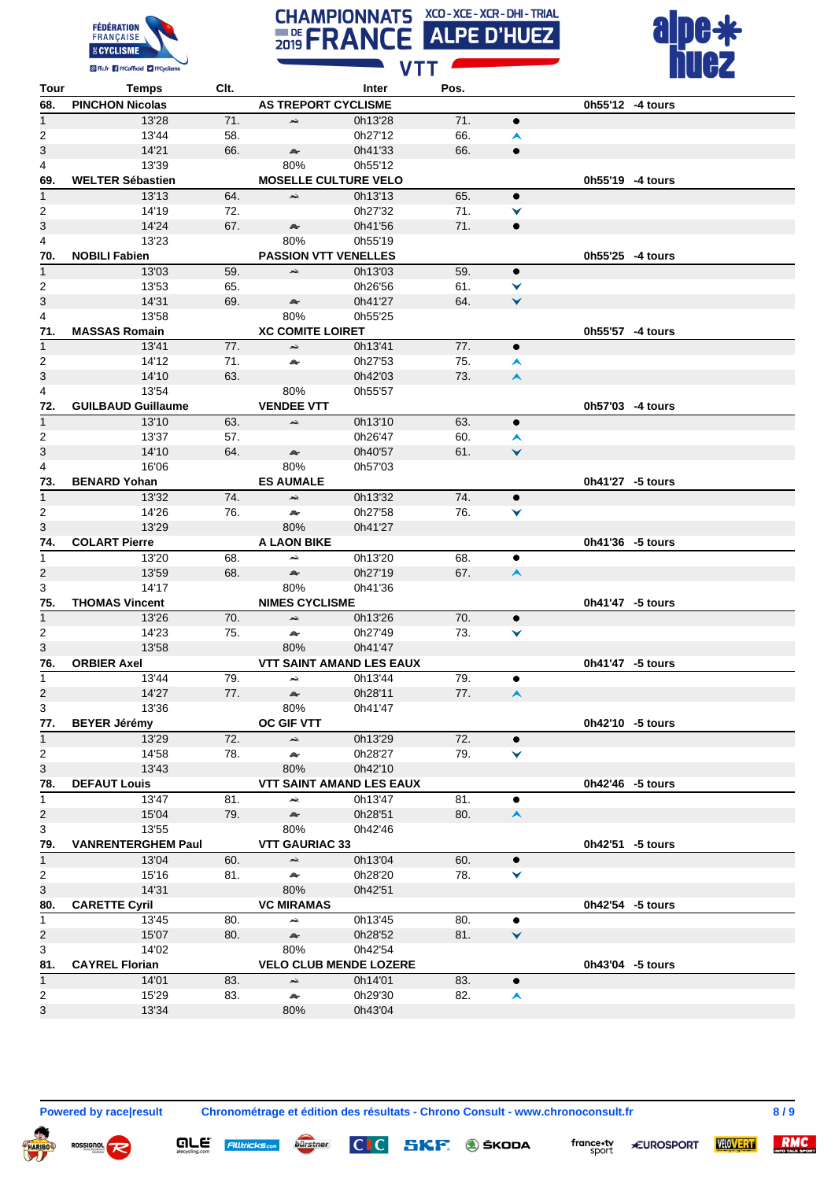





| Tour                    | <b>Temps</b>              | Clt. |                                 | Inter              | Pos. |                  |                  |
|-------------------------|---------------------------|------|---------------------------------|--------------------|------|------------------|------------------|
| 68.                     | <b>PINCHON Nicolas</b>    |      | <b>AS TREPORT CYCLISME</b>      |                    |      |                  | 0h55'12 -4 tours |
| $\mathbf{1}$            | 13'28                     | 71.  | بقعر                            | 0h13'28            | 71.  | $\bullet$        |                  |
| 2                       | 13'44                     | 58.  |                                 | 0h27'12            | 66.  | ㅅ                |                  |
| 3                       | 14'21                     | 66.  | A.                              | 0h41'33            | 66.  | $\bullet$        |                  |
| 4                       | 13'39                     |      | 80%                             | 0h55'12            |      |                  |                  |
| 69.                     | <b>WELTER Sébastien</b>   |      | <b>MOSELLE CULTURE VELO</b>     |                    |      |                  | 0h55'19 -4 tours |
| $\mathbf{1}$            | 13'13                     | 64.  | $\rightarrow$                   | 0h13'13            | 65.  | $\bullet$        |                  |
| 2                       | 14'19                     | 72.  |                                 | 0h27'32            | 71.  | ▼                |                  |
| 3                       | 14'24                     | 67.  | Æ.                              | 0h41'56            | 71.  | $\bullet$        |                  |
| 4                       | 13'23                     |      | 80%                             | 0h55'19            |      |                  |                  |
| 70.                     | <b>NOBILI Fabien</b>      |      | <b>PASSION VTT VENELLES</b>     |                    |      |                  | 0h55'25 -4 tours |
| $\mathbf{1}$            | 13'03                     | 59.  | жè,                             | 0h13'03            | 59.  | $\bullet$        |                  |
| 2                       | 13'53                     | 65.  |                                 | 0h26'56            | 61.  | ▼                |                  |
| 3                       | 14'31                     | 69.  | æ.                              | 0h41'27            | 64.  | ×                |                  |
| 4                       | 13'58                     |      | 80%                             | 0h55'25            |      |                  |                  |
| 71.                     | <b>MASSAS Romain</b>      |      | <b>XC COMITE LOIRET</b>         |                    |      |                  | 0h55'57 -4 tours |
| $\mathbf{1}$            | 13'41                     | 77.  | بحد                             | 0h13'41            | 77.  | $\bullet$        |                  |
| 2                       | 14'12                     | 71.  | A.                              | 0h27'53            | 75.  | ㅅ                |                  |
| 3                       | 14'10                     | 63.  |                                 | 0h42'03            | 73.  | $\blacktriangle$ |                  |
| 4                       | 13'54                     |      | 80%                             | 0h55'57            |      |                  |                  |
| 72.                     | <b>GUILBAUD Guillaume</b> |      | <b>VENDEE VTT</b>               |                    |      |                  | 0h57'03 -4 tours |
| $\mathbf{1}$            | 13'10                     | 63.  | بقعر                            | 0h13'10            | 63.  | $\bullet$        |                  |
| $\overline{2}$          | 13'37                     | 57.  |                                 | 0h26'47            | 60.  | ㅅ                |                  |
| 3                       | 14'10                     | 64.  | $\mathbb{A}$                    | 0h40'57            | 61.  | Ý                |                  |
| 4                       | 16'06                     |      | 80%                             | 0h57'03            |      |                  |                  |
| 73.                     | <b>BENARD Yohan</b>       |      | <b>ES AUMALE</b>                |                    |      |                  | 0h41'27 -5 tours |
| $\mathbf{1}$            | 13'32                     | 74.  | жè,                             | 0h13'32            | 74.  | $\bullet$        |                  |
|                         |                           |      | $\mathcal{Q}_\mathbf{r}$        |                    |      |                  |                  |
| 2<br>3                  | 14'26<br>13'29            | 76.  | 80%                             | 0h27'58<br>0h41'27 | 76.  | ▼                |                  |
| 74.                     | <b>COLART Pierre</b>      |      | <b>A LAON BIKE</b>              |                    |      |                  | 0h41'36 -5 tours |
|                         |                           |      |                                 | 0h13'20            | 68.  |                  |                  |
| 1                       | 13'20                     | 68.  | بجعر                            |                    |      | $\bullet$        |                  |
| $\overline{\mathbf{c}}$ | 13'59                     | 68.  | æ.<br>80%                       | 0h27'19            | 67.  | $\blacktriangle$ |                  |
| 3                       | 14'17                     |      |                                 | 0h41'36            |      |                  |                  |
| 75.                     | <b>THOMAS Vincent</b>     |      | <b>NIMES CYCLISME</b>           |                    |      |                  | 0h41'47 -5 tours |
| $\mathbf{1}$            | 13'26                     | 70.  | بقعر                            | 0h13'26            | 70.  | $\bullet$        |                  |
| $\overline{2}$          | 14'23                     | 75.  | æ.                              | 0h27'49            | 73.  | ∀                |                  |
| 3                       | 13'58                     |      | 80%                             | 0h41'47            |      |                  |                  |
| 76.                     | <b>ORBIER Axel</b>        |      | <b>VTT SAINT AMAND LES EAUX</b> |                    |      |                  | 0h41'47 -5 tours |
| $\mathbf{1}$            | 13'44                     | 79.  | بحد                             | 0h13'44            | 79.  | ٠                |                  |
| 2                       | 14'27                     | 77.  | æ.                              | 0h28'11            | 77.  | $\blacktriangle$ |                  |
| 3                       | 13'36                     |      | 80%                             | 0h41'47            |      |                  |                  |
| 77.                     | <b>BEYER Jérémy</b>       |      | <b>OC GIF VTT</b>               |                    |      |                  | 0h42'10 -5 tours |
| $\mathbf{1}$            | 13'29<br>14'58            | 72.  | $\hat{\mathbf{z}}$              | 0h13'29            | 72.  | ٠                |                  |
| $\overline{c}$          |                           | 78.  | $\mathbb{A}$                    | 0h28'27            | 79.  | ▼                |                  |
| 3                       | 13'43                     |      | 80%                             | 0h42'10            |      |                  | 0h42'46 -5 tours |
| 78.                     | <b>DEFAUT Louis</b>       |      | <b>VTT SAINT AMAND LES EAUX</b> |                    |      |                  |                  |
| $\mathbf{1}$            | 13'47                     | 81.  | Ã.                              | 0h13'47            | 81.  | ٠                |                  |
| $\overline{\mathbf{c}}$ | 15'04                     | 79.  | A.                              | 0h28'51            | 80.  | $\blacktriangle$ |                  |
| 3                       | 13'55                     |      | 80%                             | 0h42'46            |      |                  |                  |
| 79.                     | <b>VANRENTERGHEM Paul</b> |      | <b>VTT GAURIAC 33</b>           |                    |      |                  | 0h42'51 -5 tours |
| $\mathbf{1}$            | 13'04                     | 60.  | Ã.                              | 0h13'04            | 60.  | $\bullet$        |                  |
| $\overline{c}$          | 15'16                     | 81.  | A                               | 0h28'20            | 78.  | ▼                |                  |
| 3                       | 14'31                     |      | 80%                             | 0h42'51            |      |                  |                  |
| 80.                     | <b>CARETTE Cyril</b>      |      | <b>VC MIRAMAS</b>               |                    |      |                  | 0h42'54 -5 tours |
| $\mathbf{1}$            | 13'45                     | 80.  | $\blacktriangle$                | 0h13'45            | 80.  | ٠                |                  |
| $\overline{2}$          | 15'07                     | 80.  | $\mathbb{A}^{\mathbb{A}}$       | 0h28'52            | 81.  | $\checkmark$     |                  |
| 3                       | 14'02                     |      | 80%                             | 0h42'54            |      |                  |                  |
| 81.                     | <b>CAYREL Florian</b>     |      | <b>VELO CLUB MENDE LOZERE</b>   |                    |      |                  | 0h43'04 -5 tours |
| $\overline{1}$          | 14'01                     | 83.  | $\rightarrow$                   | 0h14'01            | 83.  | $\bullet$        |                  |
| $\overline{2}$          | 15'29                     | 83.  | A.                              | 0h29'30            | 82.  | $\blacktriangle$ |                  |
| 3                       | 13'34                     |      | 80%                             | 0h43'04            |      |                  |                  |

 $\overline{\bm{v}}$ 

**QLE** Alltricks<sub>com</sub>

bürstner

**Powered by race|result Chronométrage et édition des résultats - Chrono Consult - www.chronoconsult.fr 8 / 9**



france.tv<br>sport **\*EUROSPORT**